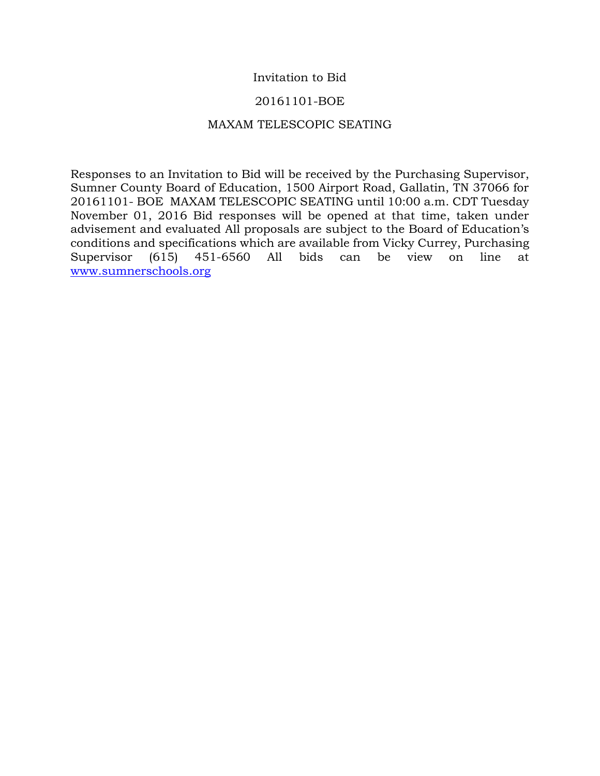## Invitation to Bid

## 20161101-BOE

### MAXAM TELESCOPIC SEATING

Responses to an Invitation to Bid will be received by the Purchasing Supervisor, Sumner County Board of Education, 1500 Airport Road, Gallatin, TN 37066 for 20161101- BOE MAXAM TELESCOPIC SEATING until 10:00 a.m. CDT Tuesday November 01, 2016 Bid responses will be opened at that time, taken under advisement and evaluated All proposals are subject to the Board of Education's conditions and specifications which are available from Vicky Currey, Purchasing Supervisor (615) 451-6560 All bids can be view on line at [www.sumnerschools.org](http://www.sumnerschools.org/)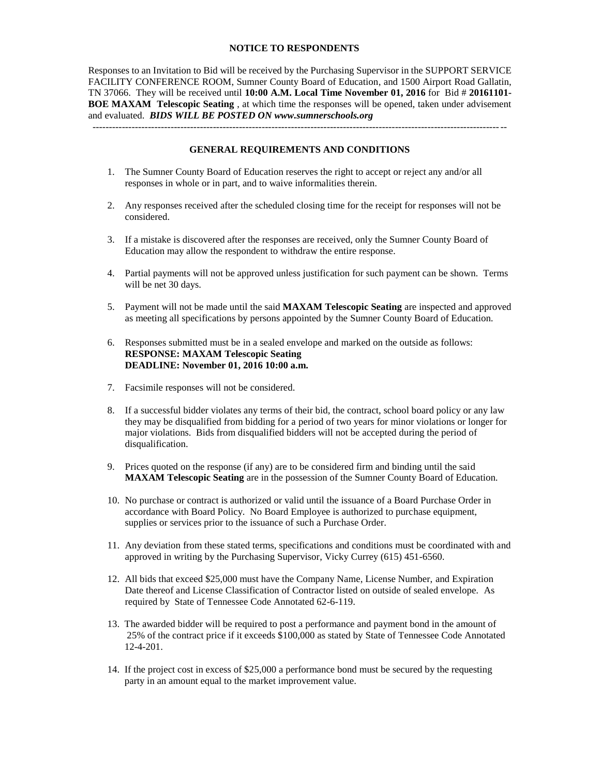#### **NOTICE TO RESPONDENTS**

Responses to an Invitation to Bid will be received by the Purchasing Supervisor in the SUPPORT SERVICE FACILITY CONFERENCE ROOM, Sumner County Board of Education, and 1500 Airport Road Gallatin, TN 37066. They will be received until **10:00 A.M. Local Time November 01, 2016** for Bid # **20161101- BOE MAXAM Telescopic Seating** , at which time the responses will be opened, taken under advisement and evaluated. *BIDS WILL BE POSTED ON www.sumnerschools.org*

#### **GENERAL REQUIREMENTS AND CONDITIONS**

-------------------------------------------------------------------------------------------------------------------------------

- 1. The Sumner County Board of Education reserves the right to accept or reject any and/or all responses in whole or in part, and to waive informalities therein.
- 2. Any responses received after the scheduled closing time for the receipt for responses will not be considered.
- 3. If a mistake is discovered after the responses are received, only the Sumner County Board of Education may allow the respondent to withdraw the entire response.
- 4. Partial payments will not be approved unless justification for such payment can be shown. Terms will be net 30 days.
- 5. Payment will not be made until the said **MAXAM Telescopic Seating** are inspected and approved as meeting all specifications by persons appointed by the Sumner County Board of Education.
- 6. Responses submitted must be in a sealed envelope and marked on the outside as follows: **RESPONSE: MAXAM Telescopic Seating DEADLINE: November 01, 2016 10:00 a.m.**
- 7. Facsimile responses will not be considered.
- 8. If a successful bidder violates any terms of their bid, the contract, school board policy or any law they may be disqualified from bidding for a period of two years for minor violations or longer for major violations. Bids from disqualified bidders will not be accepted during the period of disqualification.
- 9. Prices quoted on the response (if any) are to be considered firm and binding until the said **MAXAM Telescopic Seating** are in the possession of the Sumner County Board of Education.
- 10. No purchase or contract is authorized or valid until the issuance of a Board Purchase Order in accordance with Board Policy. No Board Employee is authorized to purchase equipment, supplies or services prior to the issuance of such a Purchase Order.
- 11. Any deviation from these stated terms, specifications and conditions must be coordinated with and approved in writing by the Purchasing Supervisor, Vicky Currey (615) 451-6560.
- 12. All bids that exceed \$25,000 must have the Company Name, License Number, and Expiration Date thereof and License Classification of Contractor listed on outside of sealed envelope. As required by State of Tennessee Code Annotated 62-6-119.
- 13. The awarded bidder will be required to post a performance and payment bond in the amount of 25% of the contract price if it exceeds \$100,000 as stated by State of Tennessee Code Annotated 12-4-201.
- 14. If the project cost in excess of \$25,000 a performance bond must be secured by the requesting party in an amount equal to the market improvement value.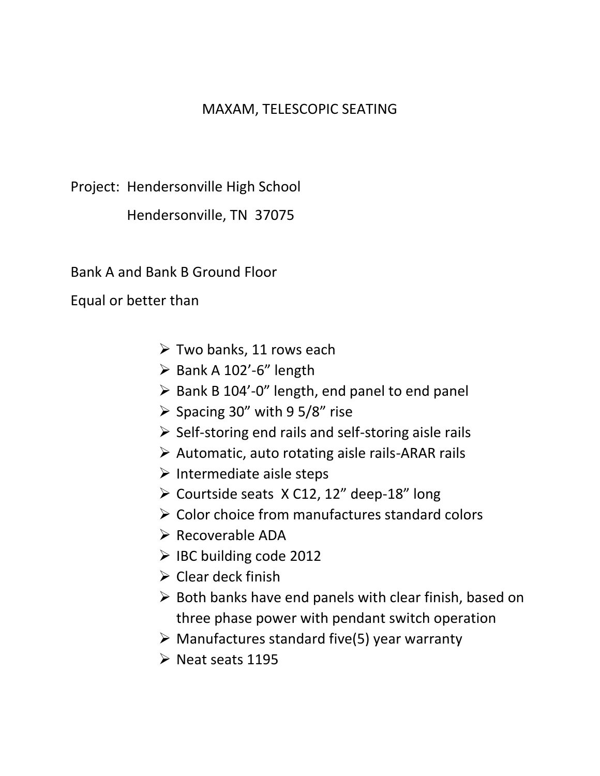# MAXAM, TELESCOPIC SEATING

Project: Hendersonville High School

Hendersonville, TN 37075

Bank A and Bank B Ground Floor

Equal or better than

- $\triangleright$  Two banks, 11 rows each
- $\triangleright$  Bank A 102'-6" length
- $\triangleright$  Bank B 104'-0" length, end panel to end panel
- $\triangleright$  Spacing 30" with 9 5/8" rise
- $\triangleright$  Self-storing end rails and self-storing aisle rails
- $\triangleright$  Automatic, auto rotating aisle rails-ARAR rails
- $\triangleright$  Intermediate aisle steps
- $\geq$  Courtside seats X C12, 12" deep-18" long
- $\triangleright$  Color choice from manufactures standard colors
- $\triangleright$  Recoverable ADA
- $\triangleright$  IBC building code 2012
- $\triangleright$  Clear deck finish
- $\triangleright$  Both banks have end panels with clear finish, based on three phase power with pendant switch operation
- $\triangleright$  Manufactures standard five(5) year warranty
- $\triangleright$  Neat seats 1195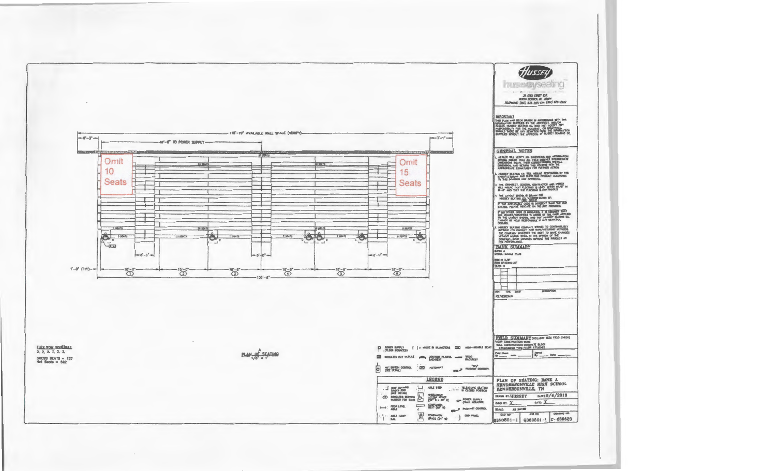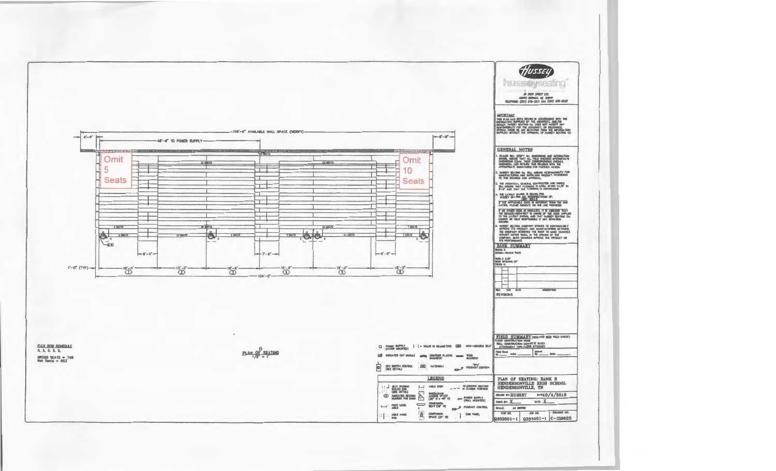